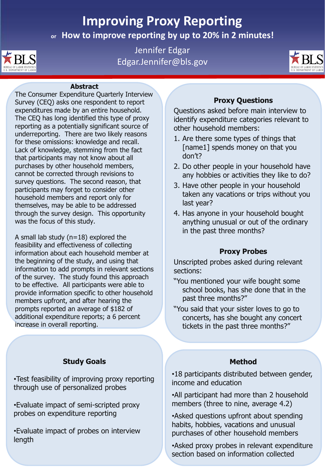# **Improving Proxy Reporting**

**or How to improve reporting by up to 20% in 2 minutes!**



Jennifer Edgar Edgar.Jennifer@bls.gov



#### **Abstract**

The Consumer Expenditure Quarterly Interview Survey (CEQ) asks one respondent to report expenditures made by an entire household. The CEQ has long identified this type of proxy reporting as a potentially significant source of underreporting. There are two likely reasons for these omissions: knowledge and recall. Lack of knowledge, stemming from the fact that participants may not know about all purchases by other household members, cannot be corrected through revisions to survey questions. The second reason, that participants may forget to consider other household members and report only for themselves, may be able to be addressed through the survey design. This opportunity was the focus of this study.

A small lab study ( $n=18$ ) explored the feasibility and effectiveness of collecting information about each household member at the beginning of the study, and using that information to add prompts in relevant sections of the survey. The study found this approach to be effective. All participants were able to provide information specific to other household members upfront, and after hearing the prompts reported an average of \$182 of additional expenditure reports; a 6 percent increase in overall reporting.

## **Study Goals**

•Test feasibility of improving proxy reporting through use of personalized probes

•Evaluate impact of semi-scripted proxy probes on expenditure reporting

•Evaluate impact of probes on interview length

## **Proxy Questions**

Questions asked before main interview to identify expenditure categories relevant to other household members:

- 1. Are there some types of things that [name1] spends money on that you don't?
- 2. Do other people in your household have any hobbies or activities they like to do?
- 3. Have other people in your household taken any vacations or trips without you last year?
- 4. Has anyone in your household bought anything unusual or out of the ordinary in the past three months?

## **Proxy Probes**

Unscripted probes asked during relevant sections:

- "You mentioned your wife bought some school books, has she done that in the past three months?"
- "You said that your sister loves to go to concerts, has she bought any concert tickets in the past three months?"

## **Method**

•18 participants distributed between gender, income and education

•All participant had more than 2 household members (three to nine, average 4.2)

•Asked questions upfront about spending habits, hobbies, vacations and unusual purchases of other household members

•Asked proxy probes in relevant expenditure section based on information collected